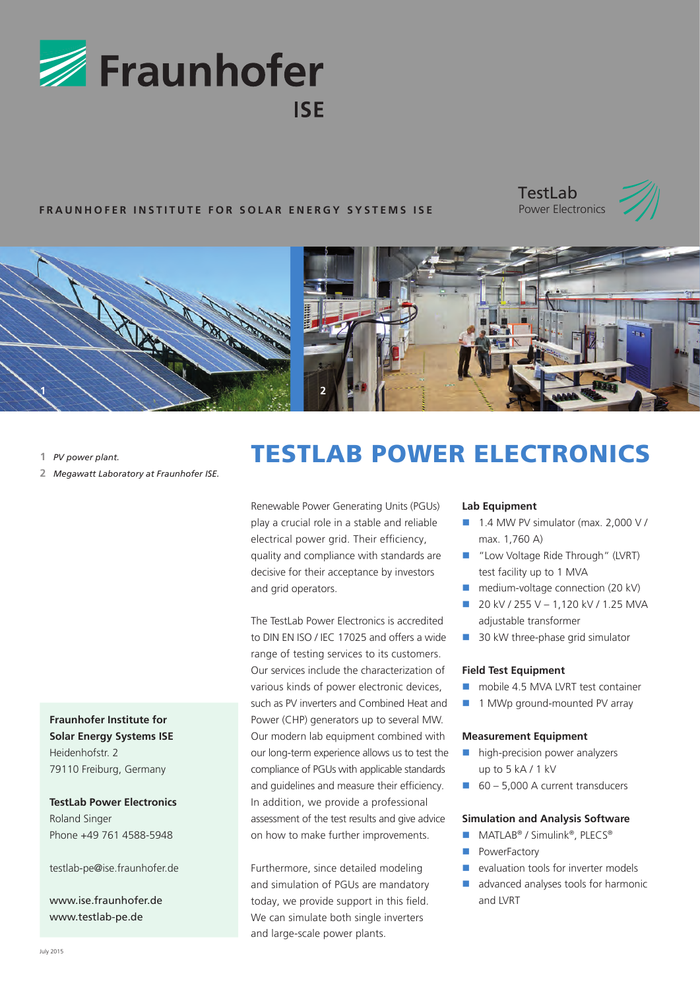

# **FRAUNHOFER INSTITUTE FOR SOLAR ENERGY SYSTEMS ISE**





- **1** *PV power plant.*
- **2** *Megawatt Laboratory at Fraunhofer ISE.*

**Fraunhofer Institute for Solar Energy Systems ISE** Heidenhofstr. 2 79110 Freiburg, Germany

**TestLab Power Electronics** Roland Singer Phone +49 761 4588-5948

testlab-pe@ise.fraunhofer.de

www.ise.fraunhofer.de www.testlab-pe.de

# TESTLAB POWER ELECTRONICS

Renewable Power Generating Units (PGUs) play a crucial role in a stable and reliable electrical power grid. Their efficiency, quality and compliance with standards are decisive for their acceptance by investors and grid operators.

The TestLab Power Electronics is accredited to DIN EN ISO / IEC 17025 and offers a wide range of testing services to its customers. Our services include the characterization of various kinds of power electronic devices, such as PV inverters and Combined Heat and Power (CHP) generators up to several MW. Our modern lab equipment combined with our long-term experience allows us to test the compliance of PGUs with applicable standards and guidelines and measure their efficiency. In addition, we provide a professional assessment of the test results and give advice on how to make further improvements.

Furthermore, since detailed modeling and simulation of PGUs are mandatory today, we provide support in this field. We can simulate both single inverters and large-scale power plants.

# **Lab Equipment**

- $\blacksquare$  1.4 MW PV simulator (max. 2,000 V / max. 1,760 A)
- "Low Voltage Ride Through" (LVRT) test facility up to 1 MVA
- medium-voltage connection (20 kV)
- $20$  kV / 255 V 1,120 kV / 1.25 MVA adjustable transformer
- 30 kW three-phase grid simulator

# **Field Test Equipment**

- mobile 4.5 MVA LVRT test container
- **1 MWp ground-mounted PV array**

#### **Measurement Equipment**

- high-precision power analyzers up to 5 kA / 1 kV
- $\Box$  60 5,000 A current transducers

# **Simulation and Analysis Software**

- MATLAB<sup>®</sup> / Simulink<sup>®</sup>, PLECS<sup>®</sup>
- **PowerFactory**
- $\blacksquare$  evaluation tools for inverter models
- advanced analyses tools for harmonic and LVRT